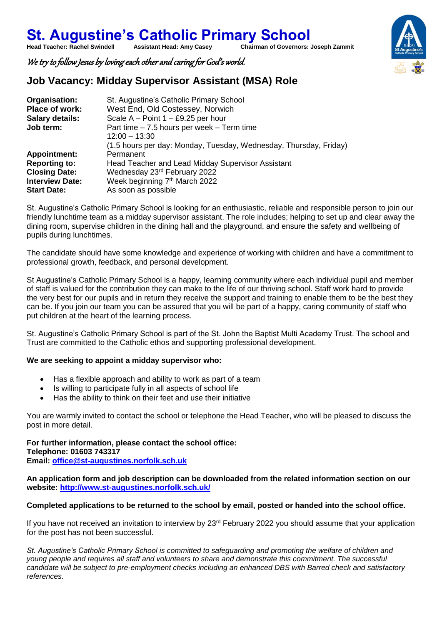**St. Augustine's Catholic Primary School**<br>Head Teacher: Rachel Swindell Assistant Head: Amy Casey Chairman of Governors: **Chairman of Governors: Joseph Zammit** 

We try to follow Jesus by loving each other and caring for God's world.

### **Job Vacancy: Midday Supervisor Assistant (MSA) Role**

| Organisation:          | St. Augustine's Catholic Primary School                           |
|------------------------|-------------------------------------------------------------------|
| Place of work:         | West End, Old Costessey, Norwich                                  |
| <b>Salary details:</b> | Scale A – Point $1 - £9.25$ per hour                              |
| Job term:              | Part time $-7.5$ hours per week $-$ Term time                     |
|                        | $12:00 - 13:30$                                                   |
|                        | (1.5 hours per day: Monday, Tuesday, Wednesday, Thursday, Friday) |
| <b>Appointment:</b>    | Permanent                                                         |
| <b>Reporting to:</b>   | Head Teacher and Lead Midday Supervisor Assistant                 |
| <b>Closing Date:</b>   | Wednesday 23rd February 2022                                      |
| <b>Interview Date:</b> | Week beginning 7th March 2022                                     |
| <b>Start Date:</b>     | As soon as possible                                               |

St. Augustine's Catholic Primary School is looking for an enthusiastic, reliable and responsible person to join our friendly lunchtime team as a midday supervisor assistant. The role includes; helping to set up and clear away the dining room, supervise children in the dining hall and the playground, and ensure the safety and wellbeing of pupils during lunchtimes.

The candidate should have some knowledge and experience of working with children and have a commitment to professional growth, feedback, and personal development.

St Augustine's Catholic Primary School is a happy, learning community where each individual pupil and member of staff is valued for the contribution they can make to the life of our thriving school. Staff work hard to provide the very best for our pupils and in return they receive the support and training to enable them to be the best they can be. If you join our team you can be assured that you will be part of a happy, caring community of staff who put children at the heart of the learning process.

St. Augustine's Catholic Primary School is part of the St. John the Baptist Multi Academy Trust. The school and Trust are committed to the Catholic ethos and supporting professional development.

#### **We are seeking to appoint a midday supervisor who:**

- Has a flexible approach and ability to work as part of a team
- Is willing to participate fully in all aspects of school life
- Has the ability to think on their feet and use their initiative

You are warmly invited to contact the school or telephone the Head Teacher, who will be pleased to discuss the post in more detail.

**For further information, please contact the school office: Telephone: 01603 743317**

**Email: [office@st-augustines.norfolk.sch.uk](mailto:office@st-augustines.norfolk.sch.uk)**

**An application form and job description can be downloaded from the related information section on our website:<http://www.st-augustines.norfolk.sch.uk/>**

#### **Completed applications to be returned to the school by email, posted or handed into the school office.**

If you have not received an invitation to interview by 23<sup>rd</sup> February 2022 you should assume that your application for the post has not been successful.

*St. Augustine's Catholic Primary School is committed to safeguarding and promoting the welfare of children and young people and requires all staff and volunteers to share and demonstrate this commitment. The successful candidate will be subject to pre-employment checks including an enhanced DBS with Barred check and satisfactory references.*

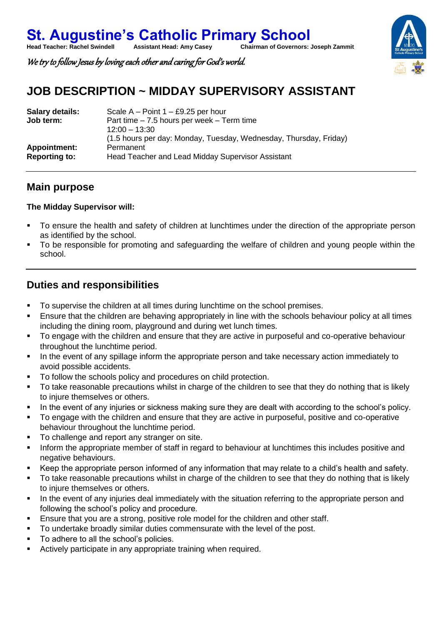We try to follow Jesus by loving each other and caring for God's world.

# **JOB DESCRIPTION ~ MIDDAY SUPERVISORY ASSISTANT**

| <b>Salary details:</b><br>Job term: | Scale A – Point $1 - £9.25$ per hour<br>Part time $-7.5$ hours per week $-$ Term time<br>$12:00 - 13:30$<br>(1.5 hours per day: Monday, Tuesday, Wednesday, Thursday, Friday) |
|-------------------------------------|-------------------------------------------------------------------------------------------------------------------------------------------------------------------------------|
| Appointment:                        | Permanent                                                                                                                                                                     |
| <b>Reporting to:</b>                | Head Teacher and Lead Midday Supervisor Assistant                                                                                                                             |

### **Main purpose**

#### **The Midday Supervisor will:**

- To ensure the health and safety of children at lunchtimes under the direction of the appropriate person as identified by the school.
- To be responsible for promoting and safeguarding the welfare of children and young people within the school.

## **Duties and responsibilities**

- To supervise the children at all times during lunchtime on the school premises.
- Ensure that the children are behaving appropriately in line with the schools behaviour policy at all times including the dining room, playground and during wet lunch times.
- To engage with the children and ensure that they are active in purposeful and co-operative behaviour throughout the lunchtime period.
- In the event of any spillage inform the appropriate person and take necessary action immediately to avoid possible accidents.
- To follow the schools policy and procedures on child protection.
- To take reasonable precautions whilst in charge of the children to see that they do nothing that is likely to injure themselves or others.
- In the event of any injuries or sickness making sure they are dealt with according to the school's policy.
- To engage with the children and ensure that they are active in purposeful, positive and co-operative behaviour throughout the lunchtime period.
- To challenge and report any stranger on site.
- Inform the appropriate member of staff in regard to behaviour at lunchtimes this includes positive and negative behaviours.
- Keep the appropriate person informed of any information that may relate to a child's health and safety.
- To take reasonable precautions whilst in charge of the children to see that they do nothing that is likely to injure themselves or others.
- In the event of any injuries deal immediately with the situation referring to the appropriate person and following the school's policy and procedure.
- Ensure that you are a strong, positive role model for the children and other staff.
- To undertake broadly similar duties commensurate with the level of the post.
- To adhere to all the school's policies.
- Actively participate in any appropriate training when required.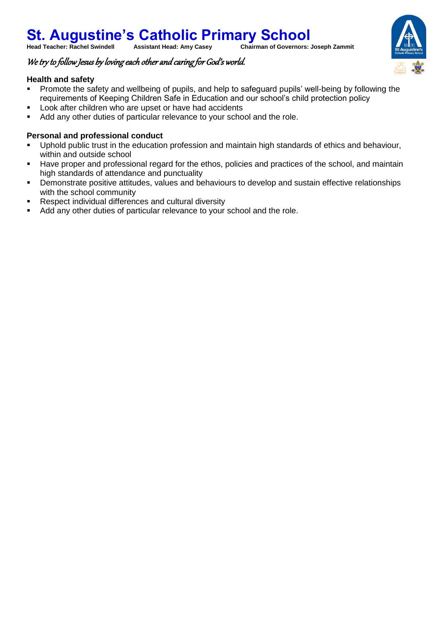### **St. Augustine's Catholic Primary School**<br>Head Teacher: Rachel Swindell Assistant Head: Amy Casey Chairman of Governors: **Chairman of Governors: Joseph Zammit**

#### We try to follow Jesus by loving each other and caring for God's world.

#### **Health and safety**

- Promote the safety and wellbeing of pupils, and help to safeguard pupils' well-being by following the requirements of Keeping Children Safe in Education and our school's child protection policy
- **Look after children who are upset or have had accidents**
- Add any other duties of particular relevance to your school and the role.

#### **Personal and professional conduct**

- Uphold public trust in the education profession and maintain high standards of ethics and behaviour, within and outside school
- Have proper and professional regard for the ethos, policies and practices of the school, and maintain high standards of attendance and punctuality
- Demonstrate positive attitudes, values and behaviours to develop and sustain effective relationships with the school community
- Respect individual differences and cultural diversity
- Add any other duties of particular relevance to your school and the role.